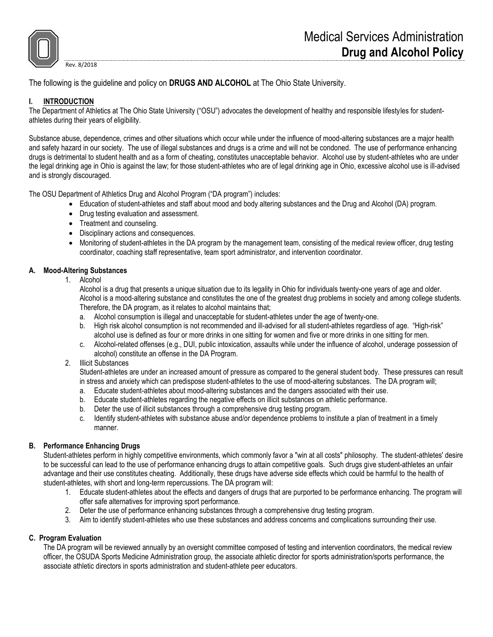

The following is the guideline and policy on **DRUGS AND ALCOHOL** at The Ohio State University.

# **I. INTRODUCTION**

Rev. 8/2018

The Department of Athletics at The Ohio State University ("OSU") advocates the development of healthy and responsible lifestyles for studentathletes during their years of eligibility.

Substance abuse, dependence, crimes and other situations which occur while under the influence of mood-altering substances are a major health and safety hazard in our society. The use of illegal substances and drugs is a crime and will not be condoned. The use of performance enhancing drugs is detrimental to student health and as a form of cheating, constitutes unacceptable behavior. Alcohol use by student-athletes who are under the legal drinking age in Ohio is against the law; for those student-athletes who are of legal drinking age in Ohio, excessive alcohol use is ill-advised and is strongly discouraged.

The OSU Department of Athletics Drug and Alcohol Program ("DA program") includes:

- Education of student-athletes and staff about mood and body altering substances and the Drug and Alcohol (DA) program.
- Drug testing evaluation and assessment.
- Treatment and counseling.
- Disciplinary actions and consequences.
- Monitoring of student-athletes in the DA program by the management team, consisting of the medical review officer, drug testing coordinator, coaching staff representative, team sport administrator, and intervention coordinator.

#### **A. Mood-Altering Substances**

1. Alcohol

Alcohol is a drug that presents a unique situation due to its legality in Ohio for individuals twenty-one years of age and older. Alcohol is a mood-altering substance and constitutes the one of the greatest drug problems in society and among college students. Therefore, the DA program, as it relates to alcohol maintains that;

- a. Alcohol consumption is illegal and unacceptable for student-athletes under the age of twenty-one.
- b. High risk alcohol consumption is not recommended and ill-advised for all student-athletes regardless of age. "High-risk" alcohol use is defined as four or more drinks in one sitting for women and five or more drinks in one sitting for men.
- c. Alcohol-related offenses (e.g., DUI, public intoxication, assaults while under the influence of alcohol, underage possession of alcohol) constitute an offense in the DA Program.
- 2. Illicit Substances

Student-athletes are under an increased amount of pressure as compared to the general student body. These pressures can result in stress and anxiety which can predispose student-athletes to the use of mood-altering substances. The DA program will;

- a. Educate student-athletes about mood-altering substances and the dangers associated with their use.
- b. Educate student-athletes regarding the negative effects on illicit substances on athletic performance.
- b. Deter the use of illicit substances through a comprehensive drug testing program.
- c. Identify student-athletes with substance abuse and/or dependence problems to institute a plan of treatment in a timely manner.

# **B. Performance Enhancing Drugs**

Student-athletes perform in highly competitive environments, which commonly favor a "win at all costs" philosophy. The student-athletes' desire to be successful can lead to the use of performance enhancing drugs to attain competitive goals. Such drugs give student-athletes an unfair advantage and their use constitutes cheating. Additionally, these drugs have adverse side effects which could be harmful to the health of student-athletes, with short and long-term repercussions. The DA program will:

- 1. Educate student-athletes about the effects and dangers of drugs that are purported to be performance enhancing. The program will offer safe alternatives for improving sport performance.
- 2. Deter the use of performance enhancing substances through a comprehensive drug testing program.
- 3. Aim to identify student-athletes who use these substances and address concerns and complications surrounding their use.

# **C. Program Evaluation**

The DA program will be reviewed annually by an oversight committee composed of testing and intervention coordinators, the medical review officer, the OSUDA Sports Medicine Administration group, the associate athletic director for sports administration/sports performance, the associate athletic directors in sports administration and student-athlete peer educators.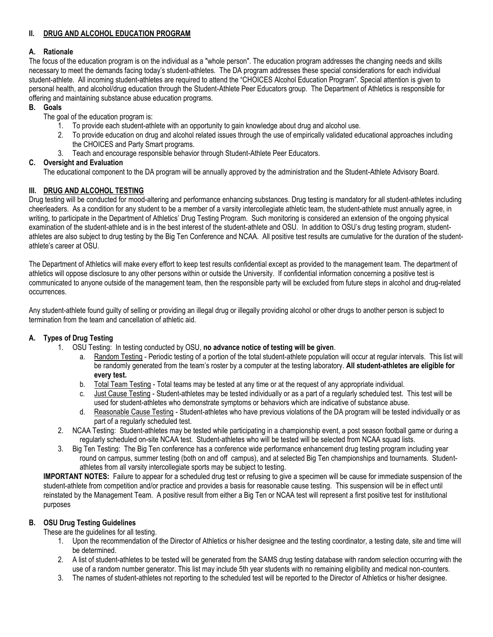# **II. DRUG AND ALCOHOL EDUCATION PROGRAM**

# **A. Rationale**

The focus of the education program is on the individual as a "whole person". The education program addresses the changing needs and skills necessary to meet the demands facing today's student-athletes. The DA program addresses these special considerations for each individual student-athlete. All incoming student-athletes are required to attend the "CHOICES Alcohol Education Program". Special attention is given to personal health, and alcohol/drug education through the Student-Athlete Peer Educators group. The Department of Athletics is responsible for offering and maintaining substance abuse education programs.

#### **B. Goals**

The goal of the education program is:

- 1. To provide each student-athlete with an opportunity to gain knowledge about drug and alcohol use.
- 2. To provide education on drug and alcohol related issues through the use of empirically validated educational approaches including the CHOICES and Party Smart programs.
- 3. Teach and encourage responsible behavior through Student-Athlete Peer Educators.

#### **C. Oversight and Evaluation**

The educational component to the DA program will be annually approved by the administration and the Student-Athlete Advisory Board.

# **III. DRUG AND ALCOHOL TESTING**

Drug testing will be conducted for mood-altering and performance enhancing substances. Drug testing is mandatory for all student-athletes including cheerleaders. As a condition for any student to be a member of a varsity intercollegiate athletic team, the student-athlete must annually agree, in writing, to participate in the Department of Athletics' Drug Testing Program. Such monitoring is considered an extension of the ongoing physical examination of the student-athlete and is in the best interest of the student-athlete and OSU. In addition to OSU's drug testing program, studentathletes are also subject to drug testing by the Big Ten Conference and NCAA. All positive test results are cumulative for the duration of the studentathlete's career at OSU.

The Department of Athletics will make every effort to keep test results confidential except as provided to the management team. The department of athletics will oppose disclosure to any other persons within or outside the University. If confidential information concerning a positive test is communicated to anyone outside of the management team, then the responsible party will be excluded from future steps in alcohol and drug-related occurrences.

Any student-athlete found guilty of selling or providing an illegal drug or illegally providing alcohol or other drugs to another person is subject to termination from the team and cancellation of athletic aid.

# **A. Types of Drug Testing**

- 1. OSU Testing: In testing conducted by OSU, **no advance notice of testing will be given**.
	- a. Random Testing Periodic testing of a portion of the total student-athlete population will occur at regular intervals. This list will be randomly generated from the team's roster by a computer at the testing laboratory. **All student-athletes are eligible for every test.**
	- b. Total Team Testing Total teams may be tested at any time or at the request of any appropriate individual.
	- c. Just Cause Testing Student-athletes may be tested individually or as a part of a regularly scheduled test. This test will be used for student-athletes who demonstrate symptoms or behaviors which are indicative of substance abuse.
	- d. Reasonable Cause Testing Student-athletes who have previous violations of the DA program will be tested individually or as part of a regularly scheduled test.
- 2. NCAA Testing: Student-athletes may be tested while participating in a championship event, a post season football game or during a regularly scheduled on-site NCAA test. Student-athletes who will be tested will be selected from NCAA squad lists.
- 3. Big Ten Testing: The Big Ten conference has a conference wide performance enhancement drug testing program including year round on campus, summer testing (both on and off campus), and at selected Big Ten championships and tournaments. Studentathletes from all varsity intercollegiate sports may be subject to testing.

**IMPORTANT NOTES:** Failure to appear for a scheduled drug test or refusing to give a specimen will be cause for immediate suspension of the student-athlete from competition and/or practice and provides a basis for reasonable cause testing. This suspension will be in effect until reinstated by the Management Team. A positive result from either a Big Ten or NCAA test will represent a first positive test for institutional purposes

# **B. OSU Drug Testing Guidelines**

These are the guidelines for all testing.

- 1. Upon the recommendation of the Director of Athletics or his/her designee and the testing coordinator, a testing date, site and time will be determined.
- 2. A list of student-athletes to be tested will be generated from the SAMS drug testing database with random selection occurring with the use of a random number generator. This list may include 5th year students with no remaining eligibility and medical non-counters.
- 3. The names of student-athletes not reporting to the scheduled test will be reported to the Director of Athletics or his/her designee.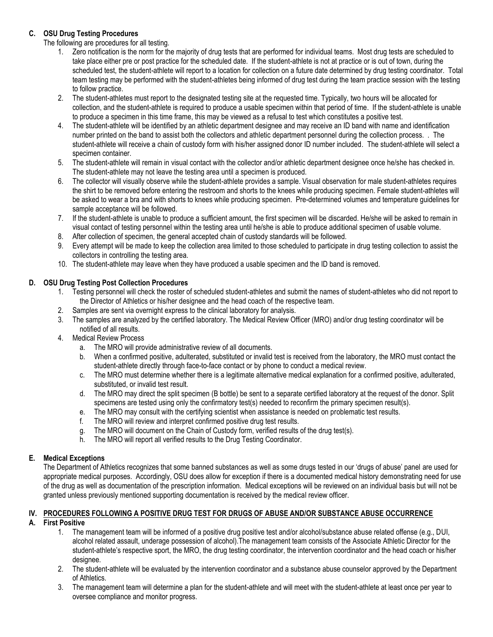# **C. OSU Drug Testing Procedures**

The following are procedures for all testing.

- 1. Zero notification is the norm for the majority of drug tests that are performed for individual teams. Most drug tests are scheduled to take place either pre or post practice for the scheduled date. If the student-athlete is not at practice or is out of town, during the scheduled test, the student-athlete will report to a location for collection on a future date determined by drug testing coordinator. Total team testing may be performed with the student-athletes being informed of drug test during the team practice session with the testing to follow practice.
- 2. The student-athletes must report to the designated testing site at the requested time. Typically, two hours will be allocated for collection, and the student-athlete is required to produce a usable specimen within that period of time. If the student-athlete is unable to produce a specimen in this time frame, this may be viewed as a refusal to test which constitutes a positive test.
- 4. The student-athlete will be identified by an athletic department designee and may receive an ID band with name and identification number printed on the band to assist both the collectors and athletic department personnel during the collection process. . The student-athlete will receive a chain of custody form with his/her assigned donor ID number included. The student-athlete will select a specimen container.
- 5. The student-athlete will remain in visual contact with the collector and/or athletic department designee once he/she has checked in. The student-athlete may not leave the testing area until a specimen is produced.
- 6. The collector will visually observe while the student-athlete provides a sample. Visual observation for male student-athletes requires the shirt to be removed before entering the restroom and shorts to the knees while producing specimen. Female student-athletes will be asked to wear a bra and with shorts to knees while producing specimen. Pre-determined volumes and temperature guidelines for sample acceptance will be followed.
- 7. If the student-athlete is unable to produce a sufficient amount, the first specimen will be discarded. He/she will be asked to remain in visual contact of testing personnel within the testing area until he/she is able to produce additional specimen of usable volume.
- 8. After collection of specimen, the general accepted chain of custody standards will be followed.
- 9. Every attempt will be made to keep the collection area limited to those scheduled to participate in drug testing collection to assist the collectors in controlling the testing area.
- 10. The student-athlete may leave when they have produced a usable specimen and the ID band is removed.

#### **D. OSU Drug Testing Post Collection Procedures**

- 1. Testing personnel will check the roster of scheduled student-athletes and submit the names of student-athletes who did not report to the Director of Athletics or his/her designee and the head coach of the respective team.
- 2. Samples are sent via overnight express to the clinical laboratory for analysis.
- 3. The samples are analyzed by the certified laboratory. The Medical Review Officer (MRO) and/or drug testing coordinator will be notified of all results.
- 4. Medical Review Process
	- a. The MRO will provide administrative review of all documents.
	- b. When a confirmed positive, adulterated, substituted or invalid test is received from the laboratory, the MRO must contact the student-athlete directly through face-to-face contact or by phone to conduct a medical review.
	- c. The MRO must determine whether there is a legitimate alternative medical explanation for a confirmed positive, adulterated, substituted, or invalid test result.
	- d. The MRO may direct the split specimen (B bottle) be sent to a separate certified laboratory at the request of the donor. Split specimens are tested using only the confirmatory test(s) needed to reconfirm the primary specimen result(s).
	- e. The MRO may consult with the certifying scientist when assistance is needed on problematic test results.
	- f. The MRO will review and interpret confirmed positive drug test results.
	- g. The MRO will document on the Chain of Custody form, verified results of the drug test(s).
	- h. The MRO will report all verified results to the Drug Testing Coordinator.

# **E. Medical Exceptions**

The Department of Athletics recognizes that some banned substances as well as some drugs tested in our 'drugs of abuse' panel are used for appropriate medical purposes. Accordingly, OSU does allow for exception if there is a documented medical history demonstrating need for use of the drug as well as documentation of the prescription information. Medical exceptions will be reviewed on an individual basis but will not be granted unless previously mentioned supporting documentation is received by the medical review officer.

#### **IV. PROCEDURES FOLLOWING A POSITIVE DRUG TEST FOR DRUGS OF ABUSE AND/OR SUBSTANCE ABUSE OCCURRENCE A. First Positive**

- 1. The management team will be informed of a positive drug positive test and/or alcohol/substance abuse related offense (e.g., DUI, alcohol related assault, underage possession of alcohol).The management team consists of the Associate Athletic Director for the student-athlete's respective sport, the MRO, the drug testing coordinator, the intervention coordinator and the head coach or his/her designee.
- 2. The student-athlete will be evaluated by the intervention coordinator and a substance abuse counselor approved by the Department of Athletics.
- 3. The management team will determine a plan for the student-athlete and will meet with the student-athlete at least once per year to oversee compliance and monitor progress.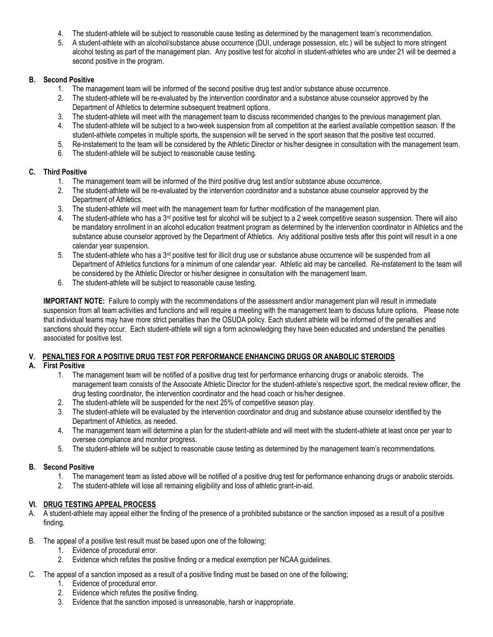- 4. The student-athlete will be subject to reasonable cause testing as determined by the management team's recommendation.
- 5. A student-athlete with an alcohol/substance abuse occurrence (DUI, underage possession, etc.) will be subject to more stringent alcohol testing as part of the management plan. Any positive test for alcohol in student-athletes who are under 21 will be deemed a second positive in the program.

# **B. Second Positive**

- 1. The management team will be informed of the second positive drug test and/or substance abuse occurrence.
- 2. The student-athlete will be re-evaluated by the intervention coordinator and a substance abuse counselor approved by the Department of Athletics to determine subsequent treatment options.
- 3. The student-athlete will meet with the management team to discuss recommended changes to the previous management plan.
- 4. The student-athlete will be subject to a two-week suspension from all competition at the earliest available competition season. If the student-athlete competes in multiple sports, the suspension will be served in the sport season that the positive test occurred.
- 5. Re-instatement to the team will be considered by the Athletic Director or his/her designee in consultation with the management team.
- 6. The student-athlete will be subject to reasonable cause testing.

# **C. Third Positive**

- 1. The management team will be informed of the third positive drug test and/or substance abuse occurrence.
- 2. The student-athlete will be re-evaluated by the intervention coordinator and a substance abuse counselor approved by the Department of Athletics.
- 3. The student-athlete will meet with the management team for further modification of the management plan.
- 4. The student-athlete who has a 3<sup>rd</sup> positive test for alcohol will be subject to a 2 week competitive season suspension. There will also be mandatory enrollment in an alcohol education treatment program as determined by the intervention coordinator in Athletics and the substance abuse counselor approved by the Department of Athletics. Any additional positive tests after this point will result in a one calendar year suspension.
- 5. The student-athlete who has a 3rd positive test for illicit drug use or substance abuse occurrence will be suspended from all Department of Athletics functions for a minimum of one calendar year. Athletic aid may be cancelled. Re-instatement to the team will be considered by the Athletic Director or his/her designee in consultation with the management team.
- 6. The student-athlete will be subject to reasonable cause testing.

**IMPORTANT NOTE:** Failure to comply with the recommendations of the assessment and/or management plan will result in immediate suspension from all team activities and functions and will require a meeting with the management team to discuss future options. Please note that individual teams may have more strict penalties than the OSUDA policy. Each student athlete will be informed of the penalties and sanctions should they occur. Each student-athlete will sign a form acknowledging they have been educated and understand the penalties associated for positive test.

# **V. PENALTIES FOR A POSITIVE DRUG TEST FOR PERFORMANCE ENHANCING DRUGS OR ANABOLIC STEROIDS**

# **A. First Positive**

- 1. The management team will be notified of a positive drug test for performance enhancing drugs or anabolic steroids. The management team consists of the Associate Athletic Director for the student-athlete's respective sport, the medical review officer, the drug testing coordinator, the intervention coordinator and the head coach or his/her designee.
- 2. The student-athlete will be suspended for the next 25% of competitive season play.
- 3. The student-athlete will be evaluated by the intervention coordinator and drug and substance abuse counselor identified by the Department of Athletics, as needed.
- 4. The management team will determine a plan for the student-athlete and will meet with the student-athlete at least once per year to oversee compliance and monitor progress.
- 5. The student-athlete will be subject to reasonable cause testing as determined by the management team's recommendations.

# **B. Second Positive**

- 1. The management team as listed above will be notified of a positive drug test for performance enhancing drugs or anabolic steroids.
- 2. The student-athlete will lose all remaining eligibility and loss of athletic grant-in-aid.

# **VI. DRUG TESTING APPEAL PROCESS**

- A. A student-athlete may appeal either the finding of the presence of a prohibited substance or the sanction imposed as a result of a positive finding.
- B. The appeal of a positive test result must be based upon one of the following;
	- 1. Evidence of procedural error.
	- 2. Evidence which refutes the positive finding or a medical exemption per NCAA guidelines.
- C. The appeal of a sanction imposed as a result of a positive finding must be based on one of the following;
	- 1. Evidence of procedural error.
	- 2. Evidence which refutes the positive finding.
	- 3. Evidence that the sanction imposed is unreasonable, harsh or inappropriate.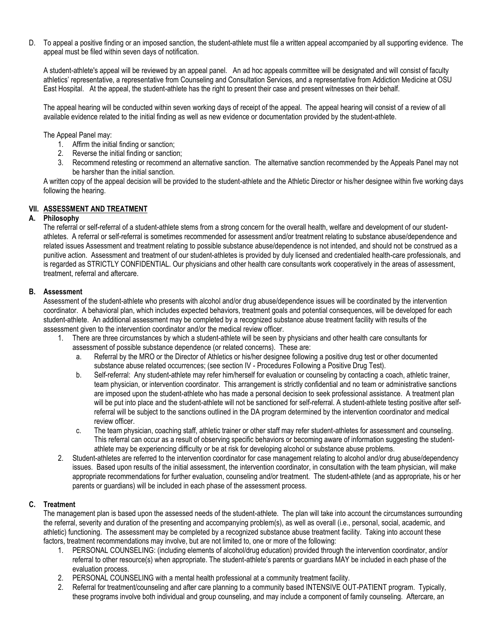D. To appeal a positive finding or an imposed sanction, the student-athlete must file a written appeal accompanied by all supporting evidence. The appeal must be filed within seven days of notification.

A student-athlete's appeal will be reviewed by an appeal panel. An ad hoc appeals committee will be designated and will consist of faculty athletics' representative, a representative from Counseling and Consultation Services, and a representative from Addiction Medicine at OSU East Hospital. At the appeal, the student-athlete has the right to present their case and present witnesses on their behalf.

The appeal hearing will be conducted within seven working days of receipt of the appeal. The appeal hearing will consist of a review of all available evidence related to the initial finding as well as new evidence or documentation provided by the student-athlete.

The Appeal Panel may:

- 1. Affirm the initial finding or sanction;
- 2. Reverse the initial finding or sanction;
- 3. Recommend retesting or recommend an alternative sanction. The alternative sanction recommended by the Appeals Panel may not be harsher than the initial sanction.

A written copy of the appeal decision will be provided to the student-athlete and the Athletic Director or his/her designee within five working days following the hearing.

#### **VII. ASSESSMENT AND TREATMENT**

#### **A. Philosophy**

The referral or self-referral of a student-athlete stems from a strong concern for the overall health, welfare and development of our studentathletes. A referral or self-referral is sometimes recommended for assessment and/or treatment relating to substance abuse/dependence and related issues Assessment and treatment relating to possible substance abuse/dependence is not intended, and should not be construed as a punitive action. Assessment and treatment of our student-athletes is provided by duly licensed and credentialed health-care professionals, and is regarded as STRICTLY CONFIDENTIAL. Our physicians and other health care consultants work cooperatively in the areas of assessment, treatment, referral and aftercare.

#### **B. Assessment**

Assessment of the student-athlete who presents with alcohol and/or drug abuse/dependence issues will be coordinated by the intervention coordinator. A behavioral plan, which includes expected behaviors, treatment goals and potential consequences, will be developed for each student-athlete. An additional assessment may be completed by a recognized substance abuse treatment facility with results of the assessment given to the intervention coordinator and/or the medical review officer.

- 1. There are three circumstances by which a student-athlete will be seen by physicians and other health care consultants for assessment of possible substance dependence (or related concerns). These are:
	- a. Referral by the MRO or the Director of Athletics or his/her designee following a positive drug test or other documented substance abuse related occurrences; (see section IV - Procedures Following a Positive Drug Test).
	- b. Self-referral: Any student-athlete may refer him/herself for evaluation or counseling by contacting a coach, athletic trainer, team physician, or intervention coordinator. This arrangement is strictly confidential and no team or administrative sanctions are imposed upon the student-athlete who has made a personal decision to seek professional assistance. A treatment plan will be put into place and the student-athlete will not be sanctioned for self-referral. A student-athlete testing positive after selfreferral will be subject to the sanctions outlined in the DA program determined by the intervention coordinator and medical review officer.
	- c. The team physician, coaching staff, athletic trainer or other staff may refer student-athletes for assessment and counseling. This referral can occur as a result of observing specific behaviors or becoming aware of information suggesting the studentathlete may be experiencing difficulty or be at risk for developing alcohol or substance abuse problems.
- 2. Student-athletes are referred to the intervention coordinator for case management relating to alcohol and/or drug abuse/dependency issues. Based upon results of the initial assessment, the intervention coordinator, in consultation with the team physician, will make appropriate recommendations for further evaluation, counseling and/or treatment. The student-athlete (and as appropriate, his or her parents or guardians) will be included in each phase of the assessment process.

#### **C. Treatment**

The management plan is based upon the assessed needs of the student-athlete. The plan will take into account the circumstances surrounding the referral, severity and duration of the presenting and accompanying problem(s), as well as overall (i.e., personal, social, academic, and athletic) functioning. The assessment may be completed by a recognized substance abuse treatment facility. Taking into account these factors, treatment recommendations may involve, but are not limited to, one or more of the following:

- 1. PERSONAL COUNSELING: (including elements of alcohol/drug education) provided through the intervention coordinator, and/or referral to other resource(s) when appropriate. The student-athlete's parents or guardians MAY be included in each phase of the evaluation process.
- 2. PERSONAL COUNSELING with a mental health professional at a community treatment facility.
- 2. Referral for treatment/counseling and after care planning to a community based INTENSIVE OUT-PATIENT program. Typically, these programs involve both individual and group counseling, and may include a component of family counseling. Aftercare, an